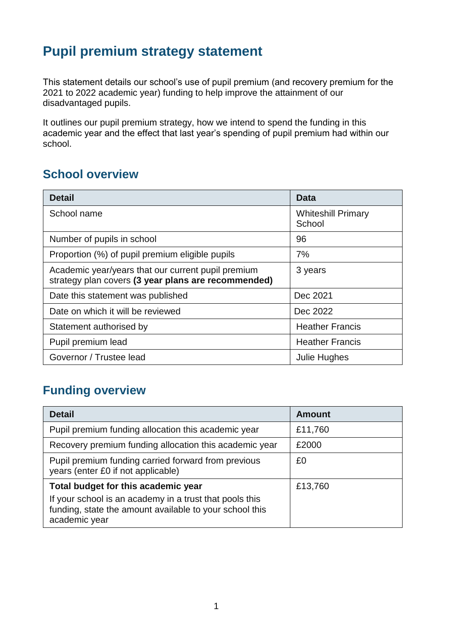# **Pupil premium strategy statement**

This statement details our school's use of pupil premium (and recovery premium for the 2021 to 2022 academic year) funding to help improve the attainment of our disadvantaged pupils.

It outlines our pupil premium strategy, how we intend to spend the funding in this academic year and the effect that last year's spending of pupil premium had within our school.

#### **School overview**

| <b>Detail</b>                                                                                             | Data                                |  |
|-----------------------------------------------------------------------------------------------------------|-------------------------------------|--|
| School name                                                                                               | <b>Whiteshill Primary</b><br>School |  |
| Number of pupils in school                                                                                | 96                                  |  |
| Proportion (%) of pupil premium eligible pupils<br>7%                                                     |                                     |  |
| Academic year/years that our current pupil premium<br>strategy plan covers (3 year plans are recommended) | 3 years                             |  |
| Date this statement was published                                                                         | Dec 2021                            |  |
| Date on which it will be reviewed                                                                         | Dec 2022                            |  |
| <b>Heather Francis</b><br>Statement authorised by                                                         |                                     |  |
| Pupil premium lead                                                                                        | <b>Heather Francis</b>              |  |
| Governor / Trustee lead                                                                                   | Julie Hughes                        |  |

### **Funding overview**

| <b>Detail</b>                                                                                                                       | <b>Amount</b> |
|-------------------------------------------------------------------------------------------------------------------------------------|---------------|
| Pupil premium funding allocation this academic year                                                                                 | £11,760       |
| Recovery premium funding allocation this academic year                                                                              | £2000         |
| Pupil premium funding carried forward from previous<br>years (enter £0 if not applicable)                                           | £0            |
| Total budget for this academic year                                                                                                 | £13,760       |
| If your school is an academy in a trust that pools this<br>funding, state the amount available to your school this<br>academic year |               |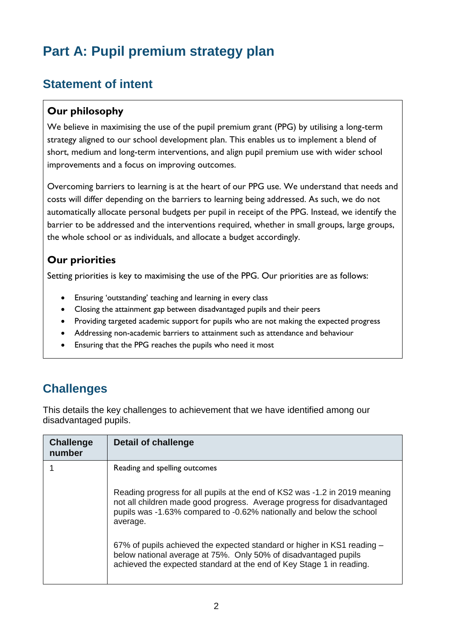# **Part A: Pupil premium strategy plan**

### **Statement of intent**

#### **Our philosophy**

We believe in maximising the use of the pupil premium grant (PPG) by utilising a long-term strategy aligned to our school development plan. This enables us to implement a blend of short, medium and long-term interventions, and align pupil premium use with wider school improvements and a focus on improving outcomes.

Overcoming barriers to learning is at the heart of our PPG use. We understand that needs and costs will differ depending on the barriers to learning being addressed. As such, we do not automatically allocate personal budgets per pupil in receipt of the PPG. Instead, we identify the barrier to be addressed and the interventions required, whether in small groups, large groups, the whole school or as individuals, and allocate a budget accordingly.

#### **Our priorities**

Setting priorities is key to maximising the use of the PPG. Our priorities are as follows:

- Ensuring 'outstanding' teaching and learning in every class
- Closing the attainment gap between disadvantaged pupils and their peers
- Providing targeted academic support for pupils who are not making the expected progress
- Addressing non-academic barriers to attainment such as attendance and behaviour
- Ensuring that the PPG reaches the pupils who need it most

## **Challenges**

This details the key challenges to achievement that we have identified among our disadvantaged pupils.

| <b>Challenge</b><br>number | Detail of challenge                                                                                                                                                                                                                       |
|----------------------------|-------------------------------------------------------------------------------------------------------------------------------------------------------------------------------------------------------------------------------------------|
|                            | Reading and spelling outcomes                                                                                                                                                                                                             |
|                            | Reading progress for all pupils at the end of KS2 was -1.2 in 2019 meaning<br>not all children made good progress. Average progress for disadvantaged<br>pupils was -1.63% compared to -0.62% nationally and below the school<br>average. |
|                            | 67% of pupils achieved the expected standard or higher in KS1 reading –<br>below national average at 75%. Only 50% of disadvantaged pupils<br>achieved the expected standard at the end of Key Stage 1 in reading.                        |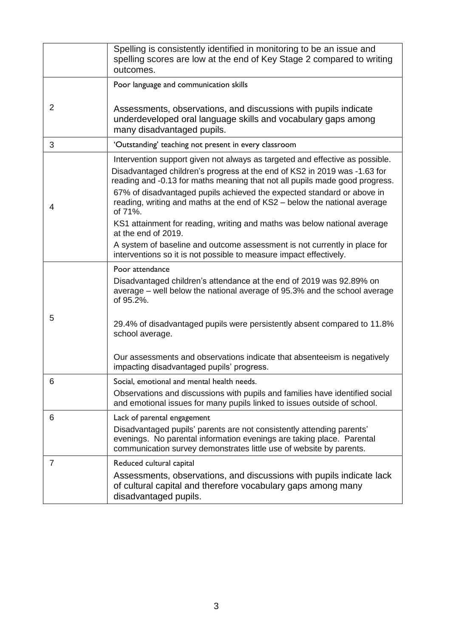|   | Spelling is consistently identified in monitoring to be an issue and<br>spelling scores are low at the end of Key Stage 2 compared to writing<br>outcomes.                                                                                                                                                                                                                                                 |
|---|------------------------------------------------------------------------------------------------------------------------------------------------------------------------------------------------------------------------------------------------------------------------------------------------------------------------------------------------------------------------------------------------------------|
|   | Poor language and communication skills                                                                                                                                                                                                                                                                                                                                                                     |
| 2 | Assessments, observations, and discussions with pupils indicate<br>underdeveloped oral language skills and vocabulary gaps among<br>many disadvantaged pupils.                                                                                                                                                                                                                                             |
| 3 | 'Outstanding' teaching not present in every classroom                                                                                                                                                                                                                                                                                                                                                      |
| 4 | Intervention support given not always as targeted and effective as possible.<br>Disadvantaged children's progress at the end of KS2 in 2019 was -1.63 for<br>reading and -0.13 for maths meaning that not all pupils made good progress.<br>67% of disadvantaged pupils achieved the expected standard or above in<br>reading, writing and maths at the end of KS2 - below the national average<br>of 71%. |
|   | KS1 attainment for reading, writing and maths was below national average<br>at the end of 2019.                                                                                                                                                                                                                                                                                                            |
|   | A system of baseline and outcome assessment is not currently in place for<br>interventions so it is not possible to measure impact effectively.                                                                                                                                                                                                                                                            |
|   | Poor attendance                                                                                                                                                                                                                                                                                                                                                                                            |
|   | Disadvantaged children's attendance at the end of 2019 was 92.89% on<br>average – well below the national average of 95.3% and the school average<br>of 95.2%.                                                                                                                                                                                                                                             |
| 5 | 29.4% of disadvantaged pupils were persistently absent compared to 11.8%<br>school average.                                                                                                                                                                                                                                                                                                                |
|   | Our assessments and observations indicate that absenteeism is negatively<br>impacting disadvantaged pupils' progress.                                                                                                                                                                                                                                                                                      |
| 6 | Social, emotional and mental health needs.<br>Observations and discussions with pupils and families have identified social<br>and emotional issues for many pupils linked to issues outside of school.                                                                                                                                                                                                     |
| 6 | Lack of parental engagement                                                                                                                                                                                                                                                                                                                                                                                |
|   | Disadvantaged pupils' parents are not consistently attending parents'<br>evenings. No parental information evenings are taking place. Parental<br>communication survey demonstrates little use of website by parents.                                                                                                                                                                                      |
| 7 | Reduced cultural capital                                                                                                                                                                                                                                                                                                                                                                                   |
|   | Assessments, observations, and discussions with pupils indicate lack<br>of cultural capital and therefore vocabulary gaps among many<br>disadvantaged pupils.                                                                                                                                                                                                                                              |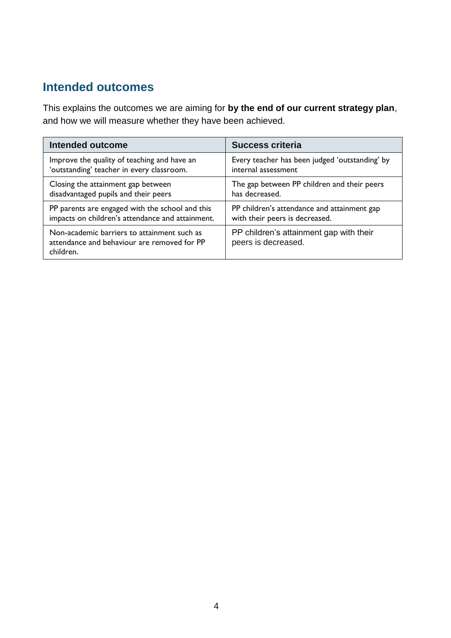#### **Intended outcomes**

This explains the outcomes we are aiming for **by the end of our current strategy plan**, and how we will measure whether they have been achieved.

| Intended outcome                                                                                        | <b>Success criteria</b>                                        |
|---------------------------------------------------------------------------------------------------------|----------------------------------------------------------------|
| Improve the quality of teaching and have an                                                             | Every teacher has been judged 'outstanding' by                 |
| 'outstanding' teacher in every classroom.                                                               | internal assessment                                            |
| Closing the attainment gap between                                                                      | The gap between PP children and their peers                    |
| disadvantaged pupils and their peers                                                                    | has decreased.                                                 |
| PP parents are engaged with the school and this                                                         | PP children's attendance and attainment gap                    |
| impacts on children's attendance and attainment.                                                        | with their peers is decreased.                                 |
| Non-academic barriers to attainment such as<br>attendance and behaviour are removed for PP<br>children. | PP children's attainment gap with their<br>peers is decreased. |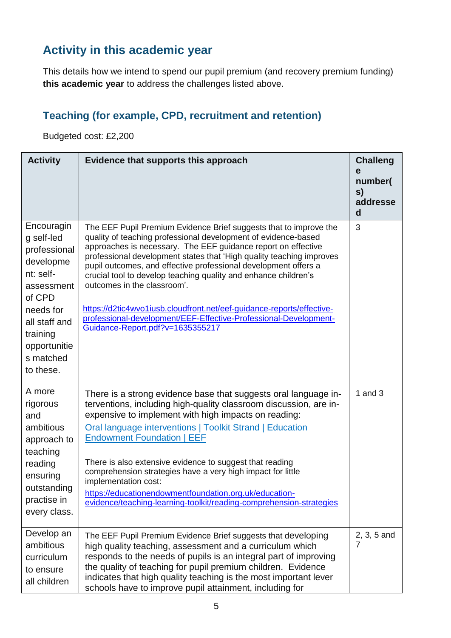### **Activity in this academic year**

This details how we intend to spend our pupil premium (and recovery premium funding) **this academic year** to address the challenges listed above.

### **Teaching (for example, CPD, recruitment and retention)**

Budgeted cost: £2,200

| <b>Activity</b>                                                                                                                                                                | Evidence that supports this approach                                                                                                                                                                                                                                                                                                                                                                                                                                                                                                                                                                                               | <b>Challeng</b><br>е<br>number(<br>S)<br>addresse<br>d |
|--------------------------------------------------------------------------------------------------------------------------------------------------------------------------------|------------------------------------------------------------------------------------------------------------------------------------------------------------------------------------------------------------------------------------------------------------------------------------------------------------------------------------------------------------------------------------------------------------------------------------------------------------------------------------------------------------------------------------------------------------------------------------------------------------------------------------|--------------------------------------------------------|
| Encouragin<br>g self-led<br>professional<br>developme<br>nt: self-<br>assessment<br>of CPD<br>needs for<br>all staff and<br>training<br>opportunitie<br>s matched<br>to these. | The EEF Pupil Premium Evidence Brief suggests that to improve the<br>quality of teaching professional development of evidence-based<br>approaches is necessary. The EEF guidance report on effective<br>professional development states that 'High quality teaching improves<br>pupil outcomes, and effective professional development offers a<br>crucial tool to develop teaching quality and enhance children's<br>outcomes in the classroom'.<br>https://d2tic4wvo1iusb.cloudfront.net/eef-guidance-reports/effective-<br>professional-development/EEF-Effective-Professional-Development-<br>Guidance-Report.pdf?v=1635355217 | 3                                                      |
| A more<br>rigorous<br>and<br>ambitious<br>approach to<br>teaching<br>reading<br>ensuring<br>outstanding<br>practise in<br>every class.                                         | There is a strong evidence base that suggests oral language in-<br>terventions, including high-quality classroom discussion, are in-<br>expensive to implement with high impacts on reading:<br><b>Oral language interventions   Toolkit Strand   Education</b><br><b>Endowment Foundation   EEF</b><br>There is also extensive evidence to suggest that reading<br>comprehension strategies have a very high impact for little<br>implementation cost:<br>https://educationendowmentfoundation.org.uk/education-<br>evidence/teaching-learning-toolkit/reading-comprehension-strategies                                           | 1 and $3$                                              |
| Develop an<br>ambitious<br>curriculum<br>to ensure<br>all children                                                                                                             | The EEF Pupil Premium Evidence Brief suggests that developing<br>high quality teaching, assessment and a curriculum which<br>responds to the needs of pupils is an integral part of improving<br>the quality of teaching for pupil premium children. Evidence<br>indicates that high quality teaching is the most important lever<br>schools have to improve pupil attainment, including for                                                                                                                                                                                                                                       | 2, 3, 5 and<br>7                                       |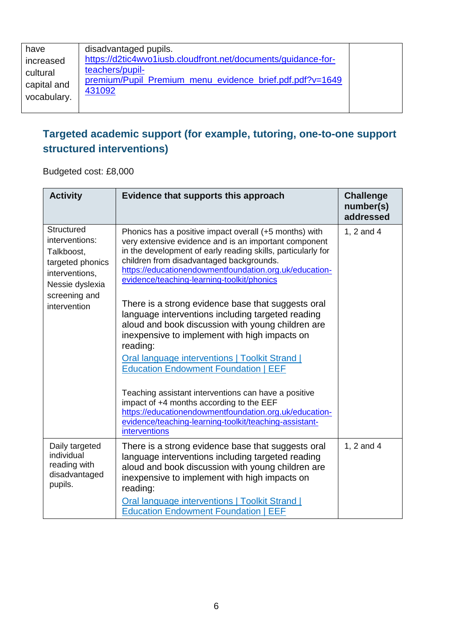| have<br>increased<br>cultural<br>capital and<br>vocabulary. | disadvantaged pupils.<br>https://d2tic4wvo1iusb.cloudfront.net/documents/guidance-for-<br>teachers/pupil-<br>premium/Pupil_Premium_menu_evidence_brief.pdf.pdf?v=1649<br>431092 |  |
|-------------------------------------------------------------|---------------------------------------------------------------------------------------------------------------------------------------------------------------------------------|--|
|-------------------------------------------------------------|---------------------------------------------------------------------------------------------------------------------------------------------------------------------------------|--|

#### **Targeted academic support (for example, tutoring, one-to-one support structured interventions)**

Budgeted cost: £8,000

| <b>Activity</b>                                                                                                      | Evidence that supports this approach                                                                                                                                                                                                                                                                                                | <b>Challenge</b><br>number(s)<br>addressed |
|----------------------------------------------------------------------------------------------------------------------|-------------------------------------------------------------------------------------------------------------------------------------------------------------------------------------------------------------------------------------------------------------------------------------------------------------------------------------|--------------------------------------------|
| Structured<br>interventions:<br>Talkboost,<br>targeted phonics<br>interventions,<br>Nessie dyslexia<br>screening and | Phonics has a positive impact overall (+5 months) with<br>very extensive evidence and is an important component<br>in the development of early reading skills, particularly for<br>children from disadvantaged backgrounds.<br>https://educationendowmentfoundation.org.uk/education-<br>evidence/teaching-learning-toolkit/phonics | 1, 2 and 4                                 |
| intervention                                                                                                         | There is a strong evidence base that suggests oral<br>language interventions including targeted reading<br>aloud and book discussion with young children are<br>inexpensive to implement with high impacts on<br>reading:<br>Oral language interventions   Toolkit Strand  <br><b>Education Endowment Foundation   EEF</b>          |                                            |
|                                                                                                                      | Teaching assistant interventions can have a positive<br>impact of +4 months according to the EEF<br>https://educationendowmentfoundation.org.uk/education-<br>evidence/teaching-learning-toolkit/teaching-assistant-<br>interventions                                                                                               |                                            |
| Daily targeted<br>individual<br>reading with<br>disadvantaged<br>pupils.                                             | There is a strong evidence base that suggests oral<br>language interventions including targeted reading<br>aloud and book discussion with young children are<br>inexpensive to implement with high impacts on<br>reading:<br>Oral language interventions   Toolkit Strand  <br><b>Education Endowment Foundation   EEF</b>          | 1, 2 and 4                                 |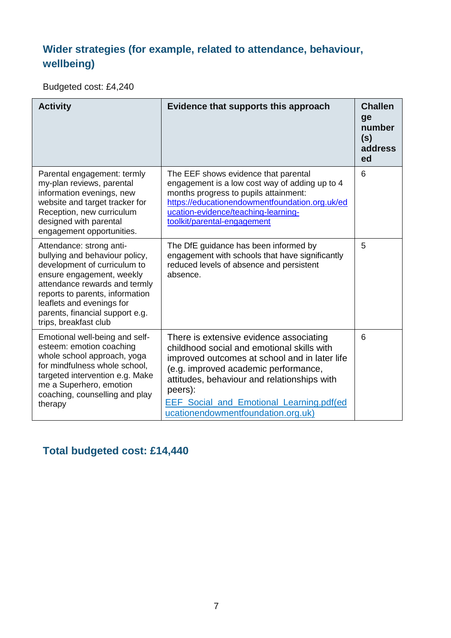### **Wider strategies (for example, related to attendance, behaviour, wellbeing)**

Budgeted cost: £4,240

| <b>Activity</b>                                                                                                                                                                                                                                                                      | Evidence that supports this approach                                                                                                                                                                                                                                                                                       | <b>Challen</b><br>ge<br>number<br>(s)<br>address<br>ed |
|--------------------------------------------------------------------------------------------------------------------------------------------------------------------------------------------------------------------------------------------------------------------------------------|----------------------------------------------------------------------------------------------------------------------------------------------------------------------------------------------------------------------------------------------------------------------------------------------------------------------------|--------------------------------------------------------|
| Parental engagement: termly<br>my-plan reviews, parental<br>information evenings, new<br>website and target tracker for<br>Reception, new curriculum<br>designed with parental<br>engagement opportunities.                                                                          | The EEF shows evidence that parental<br>engagement is a low cost way of adding up to 4<br>months progress to pupils attainment:<br>https://educationendowmentfoundation.org.uk/ed<br>ucation-evidence/teaching-learning-<br>toolkit/parental-engagement                                                                    | 6                                                      |
| Attendance: strong anti-<br>bullying and behaviour policy,<br>development of curriculum to<br>ensure engagement, weekly<br>attendance rewards and termly<br>reports to parents, information<br>leaflets and evenings for<br>parents, financial support e.g.<br>trips, breakfast club | The DfE guidance has been informed by<br>engagement with schools that have significantly<br>reduced levels of absence and persistent<br>absence.                                                                                                                                                                           | 5                                                      |
| Emotional well-being and self-<br>esteem: emotion coaching<br>whole school approach, yoga<br>for mindfulness whole school,<br>targeted intervention e.g. Make<br>me a Superhero, emotion<br>coaching, counselling and play<br>therapy                                                | There is extensive evidence associating<br>childhood social and emotional skills with<br>improved outcomes at school and in later life<br>(e.g. improved academic performance,<br>attitudes, behaviour and relationships with<br>peers):<br>EEF_Social_and_Emotional_Learning.pdf(ed<br>ucationendowmentfoundation.org.uk) | 6                                                      |

**Total budgeted cost: £14,440**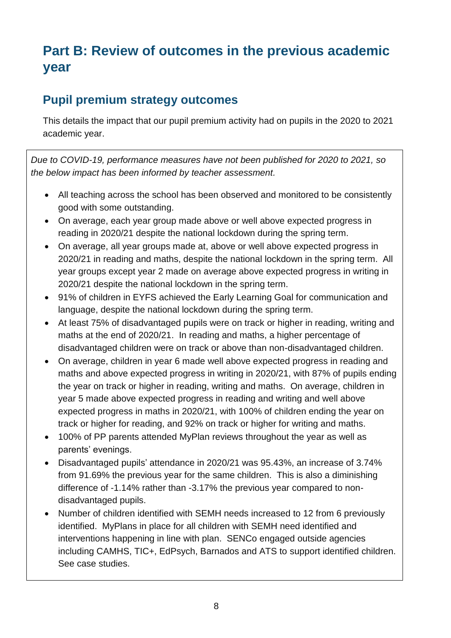# **Part B: Review of outcomes in the previous academic year**

#### **Pupil premium strategy outcomes**

This details the impact that our pupil premium activity had on pupils in the 2020 to 2021 academic year.

*Due to COVID-19, performance measures have not been published for 2020 to 2021, so the below impact has been informed by teacher assessment.*

- All teaching across the school has been observed and monitored to be consistently good with some outstanding.
- On average, each year group made above or well above expected progress in reading in 2020/21 despite the national lockdown during the spring term.
- On average, all year groups made at, above or well above expected progress in 2020/21 in reading and maths, despite the national lockdown in the spring term. All year groups except year 2 made on average above expected progress in writing in 2020/21 despite the national lockdown in the spring term.
- 91% of children in EYFS achieved the Early Learning Goal for communication and language, despite the national lockdown during the spring term.
- At least 75% of disadvantaged pupils were on track or higher in reading, writing and maths at the end of 2020/21. In reading and maths, a higher percentage of disadvantaged children were on track or above than non-disadvantaged children.
- On average, children in year 6 made well above expected progress in reading and maths and above expected progress in writing in 2020/21, with 87% of pupils ending the year on track or higher in reading, writing and maths. On average, children in year 5 made above expected progress in reading and writing and well above expected progress in maths in 2020/21, with 100% of children ending the year on track or higher for reading, and 92% on track or higher for writing and maths.
- 100% of PP parents attended MyPlan reviews throughout the year as well as parents' evenings.
- Disadvantaged pupils' attendance in 2020/21 was 95.43%, an increase of 3.74% from 91.69% the previous year for the same children. This is also a diminishing difference of -1.14% rather than -3.17% the previous year compared to nondisadvantaged pupils.
- Number of children identified with SEMH needs increased to 12 from 6 previously identified. MyPlans in place for all children with SEMH need identified and interventions happening in line with plan. SENCo engaged outside agencies including CAMHS, TIC+, EdPsych, Barnados and ATS to support identified children. See case studies.